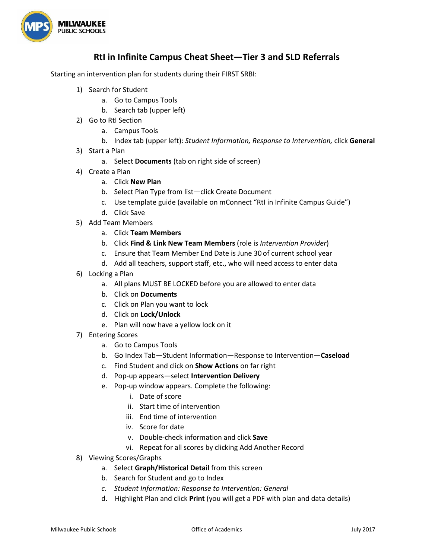

## **RtI in Infinite Campus Cheat Sheet—Tier 3 and SLD Referrals**

Starting an intervention plan for students during their FIRST SRBI:

- 1) Search for Student
	- a. Go to Campus Tools
	- b. Search tab (upper left)
- 2) Go to RtI Section
	- a. Campus Tools
	- b. Index tab (upper left): *Student Information, Response to Intervention,* click **General**
- 3) Start a Plan
	- a. Select **Documents** (tab on right side of screen)
- 4) Create a Plan
	- a. Click **New Plan**
	- b. Select Plan Type from list—click Create Document
	- c. Use template guide (available on mConnect "RtI in Infinite Campus Guide")
	- d. Click Save
- 5) Add Team Members
	- a. Click **Team Members**
	- b. Click **Find & Link New Team Members** (role is *Intervention Provider*)
	- c. Ensure that Team Member End Date is June 30 of current school year
	- d. Add all teachers, support staff, etc., who will need access to enter data
- 6) Locking a Plan
	- a. All plans MUST BE LOCKED before you are allowed to enter data
	- b. Click on **Documents**
	- c. Click on Plan you want to lock
	- d. Click on **Lock/Unlock**
	- e. Plan will now have a yellow lock on it
- 7) Entering Scores
	- a. Go to Campus Tools
	- b. Go Index Tab—Student Information—Response to Intervention—**Caseload**
	- c. Find Student and click on **Show Actions** on far right
	- d. Pop-up appears—select **Intervention Delivery**
	- e. Pop-up window appears. Complete the following:
		- i. Date of score
		- ii. Start time of intervention
		- iii. End time of intervention
		- iv. Score for date
		- v. Double-check information and click **Save**
		- vi. Repeat for all scores by clicking Add Another Record
- 8) Viewing Scores/Graphs
	- a. Select **Graph/Historical Detail** from this screen
	- b. Search for Student and go to Index
	- *c. Student Information: Response to Intervention: General*
	- d. Highlight Plan and click **Print** (you will get a PDF with plan and data details)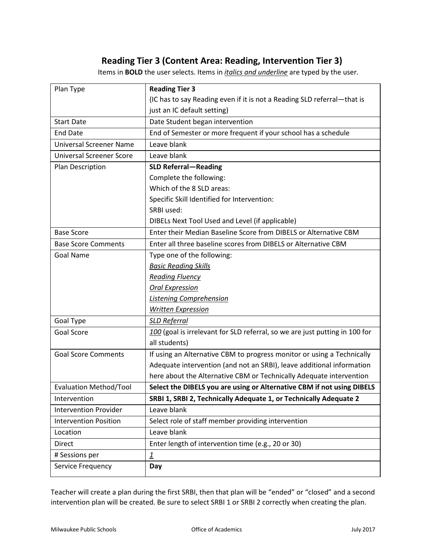## **Reading Tier 3 (Content Area: Reading, Intervention Tier 3)**

Items in **BOLD** the user selects. Items in *italics and underline* are typed by the user.

| Plan Type                       | <b>Reading Tier 3</b>                                                       |
|---------------------------------|-----------------------------------------------------------------------------|
|                                 | (IC has to say Reading even if it is not a Reading SLD referral-that is     |
|                                 | just an IC default setting)                                                 |
| <b>Start Date</b>               | Date Student began intervention                                             |
| <b>End Date</b>                 | End of Semester or more frequent if your school has a schedule              |
| <b>Universal Screener Name</b>  | Leave blank                                                                 |
| <b>Universal Screener Score</b> | Leave blank                                                                 |
| Plan Description                | <b>SLD Referral-Reading</b>                                                 |
|                                 | Complete the following:                                                     |
|                                 | Which of the 8 SLD areas:                                                   |
|                                 | Specific Skill Identified for Intervention:                                 |
|                                 | SRBI used:                                                                  |
|                                 | DIBELs Next Tool Used and Level (if applicable)                             |
| <b>Base Score</b>               | Enter their Median Baseline Score from DIBELS or Alternative CBM            |
| <b>Base Score Comments</b>      | Enter all three baseline scores from DIBELS or Alternative CBM              |
| Goal Name                       | Type one of the following:                                                  |
|                                 | <b>Basic Reading Skills</b>                                                 |
|                                 | <b>Reading Fluency</b>                                                      |
|                                 | <b>Oral Expression</b>                                                      |
|                                 | <b>Listening Comprehension</b>                                              |
|                                 | <b>Written Expression</b>                                                   |
| Goal Type                       | <b>SLD Referral</b>                                                         |
| Goal Score                      | 100 (goal is irrelevant for SLD referral, so we are just putting in 100 for |
|                                 | all students)                                                               |
| <b>Goal Score Comments</b>      | If using an Alternative CBM to progress monitor or using a Technically      |
|                                 | Adequate intervention (and not an SRBI), leave additional information       |
|                                 | here about the Alternative CBM or Technically Adequate intervention         |
| <b>Evaluation Method/Tool</b>   | Select the DIBELS you are using or Alternative CBM if not using DIBELS      |
| Intervention                    | SRBI 1, SRBI 2, Technically Adequate 1, or Technically Adequate 2           |
| <b>Intervention Provider</b>    | Leave blank                                                                 |
| <b>Intervention Position</b>    | Select role of staff member providing intervention                          |
| Location                        | Leave blank                                                                 |
| <b>Direct</b>                   | Enter length of intervention time (e.g., 20 or 30)                          |
| # Sessions per                  | $\mathbf{1}$                                                                |
| Service Frequency               | Day                                                                         |

Teacher will create a plan during the first SRBI, then that plan will be "ended" or "closed" and a second intervention plan will be created. Be sure to select SRBI 1 or SRBI 2 correctly when creating the plan.